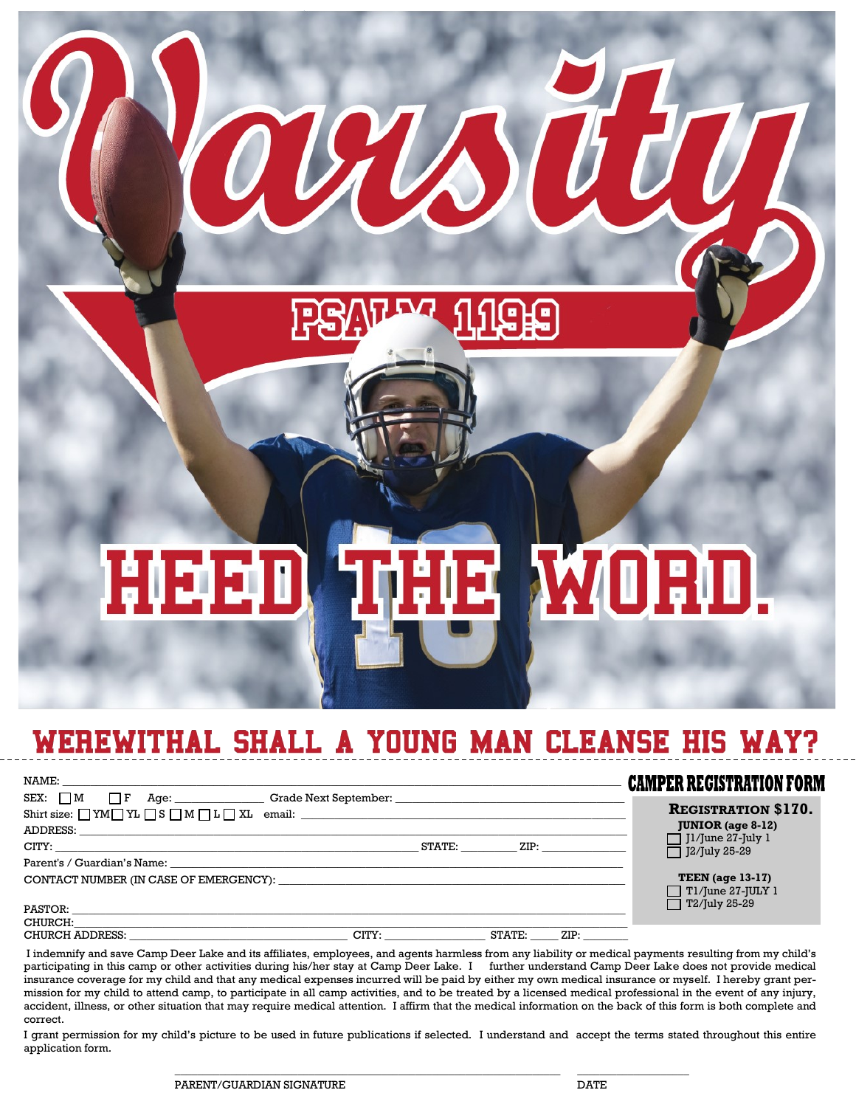# **HE WORD.** HEED

 ${\cal H}$ 

### WEREWITHAL SHALL A YOUNG MAN CLEANSE HIS WAY?

| NAME: NAME AND A CONTRACT AND A CONTRACT OF THE CONTRACT OF THE CONTRACT OF THE CONTRACT OF THE CONTRACT OF THE CONTRACT OF THE CONTRACT OF THE CONTRACT OF THE CONTRACT OF THE CONTRACT OF THE CONTRACT OF THE CONTRACT OF TH |                                                |        | <b>CAMPER REGISTRATION FORM</b>                 |
|--------------------------------------------------------------------------------------------------------------------------------------------------------------------------------------------------------------------------------|------------------------------------------------|--------|-------------------------------------------------|
| SEX: M F Age: Crade Next September:                                                                                                                                                                                            |                                                |        | <b>REGISTRATION \$170.</b>                      |
|                                                                                                                                                                                                                                |                                                |        | <b>JUNIOR</b> (age $8-12$ )                     |
|                                                                                                                                                                                                                                | STATE:                                         |        | $\Box$ J1/June 27-July 1<br>J2/July 25-29       |
| Parent's / Guardian's Name: North and the contract of the contract of the contract of the contract of the contract of the contract of the contract of the contract of the contract of the contract of the contract of the cont |                                                |        |                                                 |
| CONTACT NUMBER (IN CASE OF EMERGENCY): The contract of the contract of the contract of the contract of the contract of the contract of the contract of the contract of the contract of the contract of the contract of the con |                                                |        | TEEN (age $13-17$ )<br>$\Box$ Tl/June 27-JULY 1 |
| PASTOR:                                                                                                                                                                                                                        |                                                |        | $\Box$ T2/July 25-29                            |
| CHURCH:                                                                                                                                                                                                                        |                                                |        |                                                 |
| CHURCH ADDRESS:                                                                                                                                                                                                                | $\overline{\phantom{a}}$ CITY: _______________ | STATE: |                                                 |

I indemnify and save Camp Deer Lake and its affiliates, employees, and agents harmless from any liability or medical payments resulting from my child's participating in this camp or other activities during his/her stay at Camp Deer Lake. I further understand Camp Deer Lake does not provide medical insurance coverage for my child and that any medical expenses incurred will be paid by either my own medical insurance or myself. I hereby grant permission for my child to attend camp, to participate in all camp activities, and to be treated by a licensed medical professional in the event of any injury, accident, illness, or other situation that may require medical attention. I affirm that the medical information on the back of this form is both complete and correct.

I grant permission for my child's picture to be used in future publications if selected. I understand and accept the terms stated throughout this entire application form.

 $\_$  , and the set of the set of the set of the set of the set of the set of the set of the set of the set of the set of the set of the set of the set of the set of the set of the set of the set of the set of the set of th